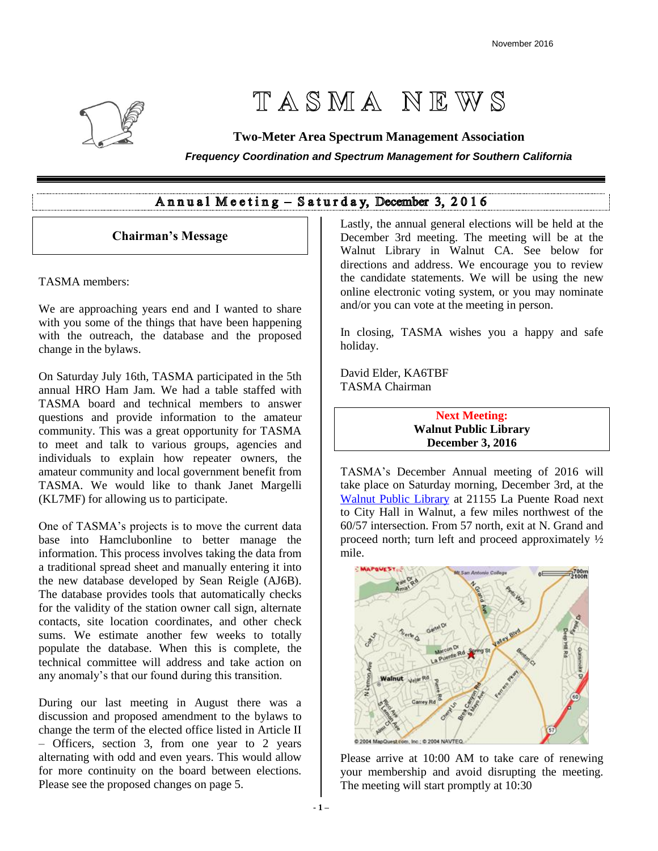

# TASMA NEWS

# **Two-Meter Area Spectrum Management Association**

*Frequency Coordination and Spectrum Management for Southern California*

# Annual Meeting - Saturday, December 3, 2016

# **Chairman's Message**

TASMA members:

We are approaching years end and I wanted to share with you some of the things that have been happening with the outreach, the database and the proposed change in the bylaws.

On Saturday July 16th, TASMA participated in the 5th annual HRO Ham Jam. We had a table staffed with TASMA board and technical members to answer questions and provide information to the amateur community. This was a great opportunity for TASMA to meet and talk to various groups, agencies and individuals to explain how repeater owners, the amateur community and local government benefit from TASMA. We would like to thank Janet Margelli (KL7MF) for allowing us to participate.

One of TASMA's projects is to move the current data base into Hamclubonline to better manage the information. This process involves taking the data from a traditional spread sheet and manually entering it into the new database developed by Sean Reigle (AJ6B). The database provides tools that automatically checks for the validity of the station owner call sign, alternate contacts, site location coordinates, and other check sums. We estimate another few weeks to totally populate the database. When this is complete, the technical committee will address and take action on any anomaly's that our found during this transition.

During our last meeting in August there was a discussion and proposed amendment to the bylaws to change the term of the elected office listed in Article II – Officers, section 3, from one year to 2 years alternating with odd and even years. This would allow for more continuity on the board between elections. Please see the proposed changes on page 5.

Lastly, the annual general elections will be held at the December 3rd meeting. The meeting will be at the Walnut Library in Walnut CA. See below for directions and address. We encourage you to review the candidate statements. We will be using the new online electronic voting system, or you may nominate and/or you can vote at the meeting in person.

In closing, TASMA wishes you a happy and safe holiday.

David Elder, KA6TBF TASMA Chairman

> **Next Meeting: Walnut Public Library December 3, 2016**

TASMA's December Annual meeting of 2016 will take place on Saturday morning, December 3rd, at the [Walnut Public](https://www.google.com/maps/place/Walnut+Library/@34.0196129,-117.8343497,15z/data=!4m2!3m1!1s0x80c32bed83784181:0xee4655ded4e41bff) Library at 21155 La Puente Road next to City Hall in Walnut, a few miles northwest of the 60/57 intersection. From 57 north, exit at N. Grand and proceed north; turn left and proceed approximately ½ mile.



Please arrive at 10:00 AM to take care of renewing your membership and avoid disrupting the meeting. The meeting will start promptly at 10:30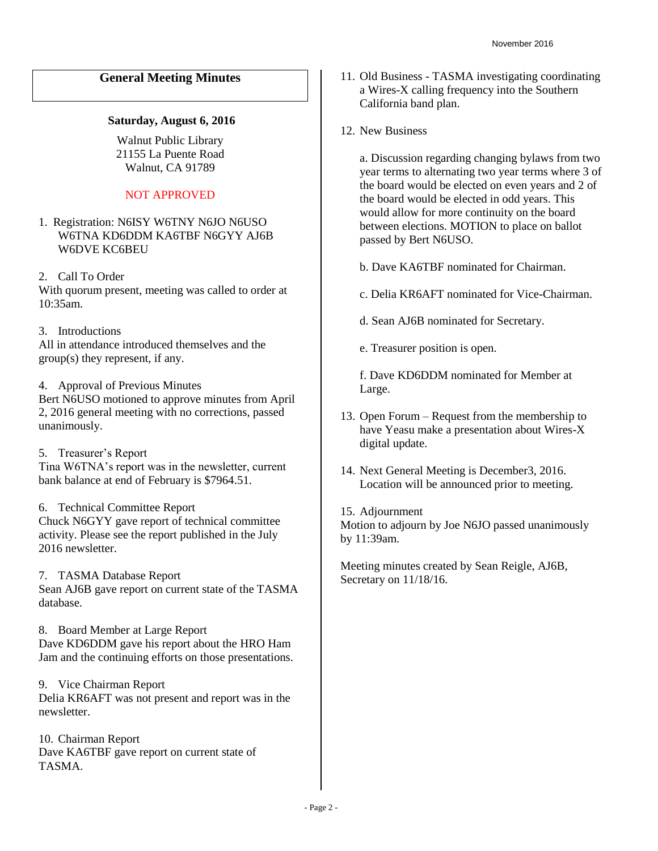# **General Meeting Minutes**

#### **Saturday, August 6, 2016**

Walnut Public Library 21155 La Puente Road Walnut, CA 91789

## NOT APPROVED

- 1. Registration: N6ISY W6TNY N6JO N6USO W6TNA KD6DDM KA6TBF N6GYY AJ6B W6DVE KC6BEU
- 2. Call To Order

With quorum present, meeting was called to order at 10:35am.

3. Introductions

All in attendance introduced themselves and the group(s) they represent, if any.

4. Approval of Previous Minutes

Bert N6USO motioned to approve minutes from April 2, 2016 general meeting with no corrections, passed unanimously.

5. Treasurer's Report Tina W6TNA's report was in the newsletter, current bank balance at end of February is \$7964.51.

6. Technical Committee Report

Chuck N6GYY gave report of technical committee activity. Please see the report published in the July 2016 newsletter

7. TASMA Database Report

Sean AJ6B gave report on current state of the TASMA database.

8. Board Member at Large Report Dave KD6DDM gave his report about the HRO Ham Jam and the continuing efforts on those presentations.

9. Vice Chairman Report Delia KR6AFT was not present and report was in the newsletter.

10. Chairman Report Dave KA6TBF gave report on current state of **TASMA** 

- 11. Old Business TASMA investigating coordinating a Wires-X calling frequency into the Southern California band plan.
- 12. New Business

a. Discussion regarding changing bylaws from two year terms to alternating two year terms where 3 of the board would be elected on even years and 2 of the board would be elected in odd years. This would allow for more continuity on the board between elections. MOTION to place on ballot passed by Bert N6USO.

b. Dave KA6TBF nominated for Chairman.

c. Delia KR6AFT nominated for Vice-Chairman.

d. Sean AJ6B nominated for Secretary.

e. Treasurer position is open.

f. Dave KD6DDM nominated for Member at Large.

- 13. Open Forum Request from the membership to have Yeasu make a presentation about Wires-X digital update.
- 14. Next General Meeting is December3, 2016. Location will be announced prior to meeting.
- 15. Adjournment

Motion to adjourn by Joe N6JO passed unanimously by 11:39am.

Meeting minutes created by Sean Reigle, AJ6B, Secretary on 11/18/16.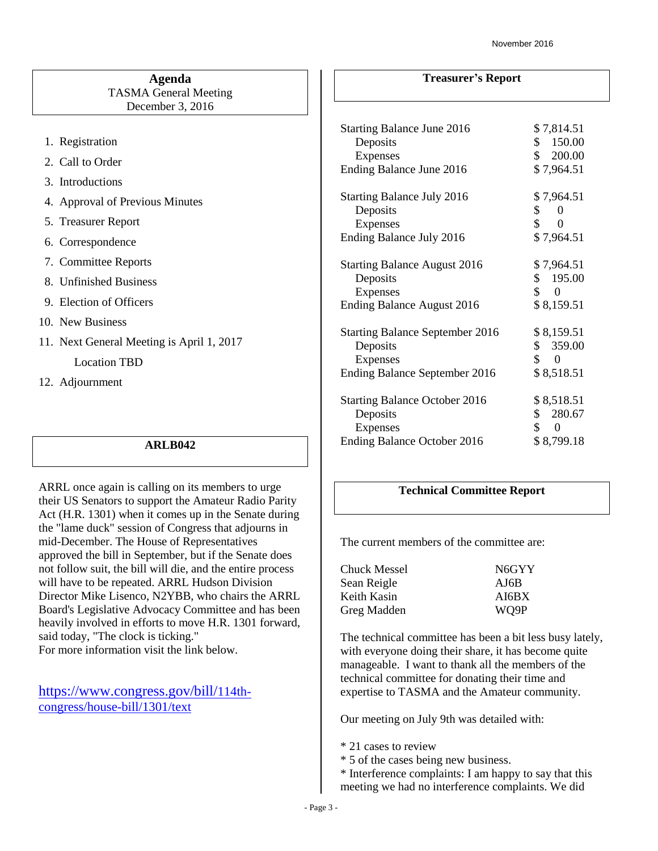#### **Agenda** TASMA General Meeting December 3, 2016

- 1. Registration
- 2. Call to Order
- 3. Introductions
- 4. Approval of Previous Minutes
- 5. Treasurer Report
- 6. Correspondence
- 7. Committee Reports
- 8. Unfinished Business
- 9. Election of Officers
- 10. New Business
- 11. Next General Meeting is April 1, 2017

Location TBD

12. Adjournment

#### **ARLB042**

ARRL once again is calling on its members to urge their US Senators to support the Amateur Radio Parity Act (H.R. 1301) when it comes up in the Senate during the "lame duck" session of Congress that adjourns in mid-December. The House of Representatives approved the bill in September, but if the Senate does not follow suit, the bill will die, and the entire process will have to be repeated. ARRL Hudson Division Director Mike Lisenco, N2YBB, who chairs the ARRL Board's Legislative Advocacy Committee and has been heavily involved in efforts to move H.R. 1301 forward, said today, "The clock is ticking." For more information visit the link below.

[https://www.congress.gov/bill/](https://www.congress.gov/bill/114th-congress/house-bill/1301/text)114th[congress/house-bill/1301/text](https://www.congress.gov/bill/114th-congress/house-bill/1301/text)

## **Treasurer's Report**

| <b>Starting Balance June 2016</b><br>Deposits<br><b>Expenses</b><br>Ending Balance June 2016              | \$7,814.51<br>\$150.00<br>\$ 200.00<br>\$7,964.51                       |
|-----------------------------------------------------------------------------------------------------------|-------------------------------------------------------------------------|
|                                                                                                           |                                                                         |
| <b>Starting Balance July 2016</b><br>Deposits<br><b>Expenses</b>                                          | \$7,964.51<br>\$<br>$\Omega$<br>\$<br>0                                 |
| Ending Balance July 2016                                                                                  | \$7,964.51                                                              |
| <b>Starting Balance August 2016</b><br>Deposits<br>Expenses<br><b>Ending Balance August 2016</b>          | \$7,964.51<br>\$195.00<br>\$<br>$\boldsymbol{0}$<br>\$8,159.51          |
| <b>Starting Balance September 2016</b><br>Deposits<br><b>Expenses</b><br>Ending Balance September 2016    | \$8,159.51<br>\$359.00<br>$\begin{matrix} 0 \end{matrix}$<br>\$8,518.51 |
| <b>Starting Balance October 2016</b><br>Deposits<br><b>Expenses</b><br><b>Ending Balance October 2016</b> | \$8,518.51<br>\$280.67<br>\$<br>$\boldsymbol{0}$<br>\$8,799.18          |

# **Technical Committee Report**

The current members of the committee are:

| Chuck Messel | N6GYY |
|--------------|-------|
| Sean Reigle  | AJ6B  |
| Keith Kasin  | AI6BX |
| Greg Madden  | WO9P  |

The technical committee has been a bit less busy lately, with everyone doing their share, it has become quite manageable. I want to thank all the members of the technical committee for donating their time and expertise to TASMA and the Amateur community.

Our meeting on July 9th was detailed with:

- \* 21 cases to review
- \* 5 of the cases being new business.
- \* Interference complaints: I am happy to say that this meeting we had no interference complaints. We did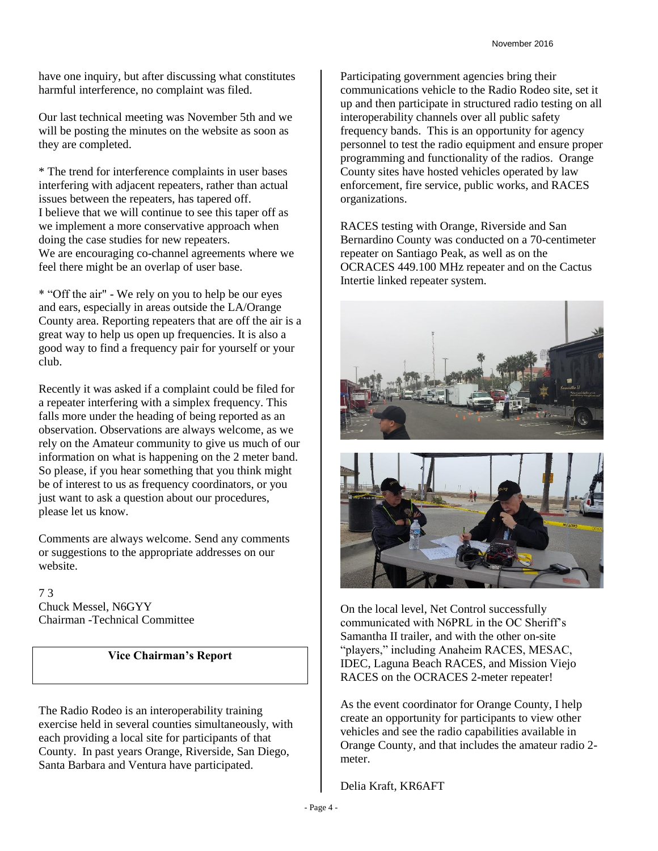have one inquiry, but after discussing what constitutes harmful interference, no complaint was filed.

Our last technical meeting was November 5th and we will be posting the minutes on the website as soon as they are completed.

\* The trend for interference complaints in user bases interfering with adjacent repeaters, rather than actual issues between the repeaters, has tapered off. I believe that we will continue to see this taper off as we implement a more conservative approach when doing the case studies for new repeaters. We are encouraging co-channel agreements where we feel there might be an overlap of user base.

\* "Off the air" - We rely on you to help be our eyes and ears, especially in areas outside the LA/Orange County area. Reporting repeaters that are off the air is a great way to help us open up frequencies. It is also a good way to find a frequency pair for yourself or your club.

Recently it was asked if a complaint could be filed for a repeater interfering with a simplex frequency. This falls more under the heading of being reported as an observation. Observations are always welcome, as we rely on the Amateur community to give us much of our information on what is happening on the 2 meter band. So please, if you hear something that you think might be of interest to us as frequency coordinators, or you just want to ask a question about our procedures, please let us know.

Comments are always welcome. Send any comments or suggestions to the appropriate addresses on our website.

7 3 Chuck Messel, N6GYY Chairman -Technical Committee

## **Vice Chairman's Report**

The Radio Rodeo is an interoperability training exercise held in several counties simultaneously, with each providing a local site for participants of that County. In past years Orange, Riverside, San Diego, Santa Barbara and Ventura have participated.

Participating government agencies bring their communications vehicle to the Radio Rodeo site, set it up and then participate in structured radio testing on all interoperability channels over all public safety frequency bands. This is an opportunity for agency personnel to test the radio equipment and ensure proper programming and functionality of the radios. Orange County sites have hosted vehicles operated by law enforcement, fire service, public works, and RACES organizations.

RACES testing with Orange, Riverside and San Bernardino County was conducted on a 70-centimeter repeater on Santiago Peak, as well as on the OCRACES 449.100 MHz repeater and on the Cactus Intertie linked repeater system.





On the local level, Net Control successfully communicated with N6PRL in the OC Sheriff's Samantha II trailer, and with the other on-site "players," including Anaheim RACES, MESAC, IDEC, Laguna Beach RACES, and Mission Viejo RACES on the OCRACES 2-meter repeater!

As the event coordinator for Orange County, I help create an opportunity for participants to view other vehicles and see the radio capabilities available in Orange County, and that includes the amateur radio 2 meter.

Delia Kraft, KR6AFT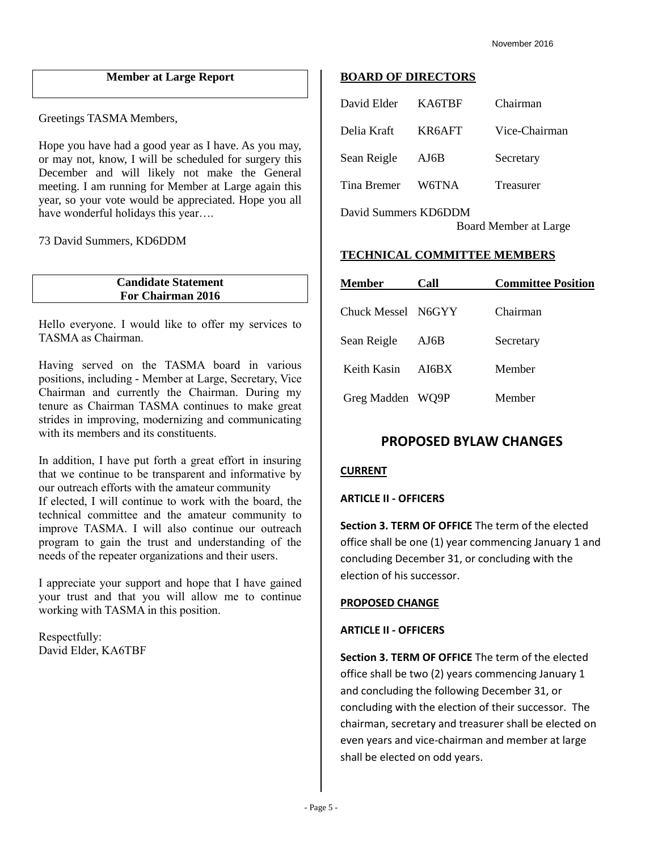## **Member at Large Report**

Greetings TASMA Members,

Hope you have had a good year as I have. As you may, or may not, know, I will be scheduled for surgery this December and will likely not make the General meeting. I am running for Member at Large again this year, so your vote would be appreciated. Hope you all have wonderful holidays this year….

73 David Summers, KD6DDM

**Candidate Statement For Chairman 2016**

Hello everyone. I would like to offer my services to TASMA as Chairman.

Having served on the TASMA board in various positions, including - Member at Large, Secretary, Vice Chairman and currently the Chairman. During my tenure as Chairman TASMA continues to make great strides in improving, modernizing and communicating with its members and its constituents.

In addition, I have put forth a great effort in insuring that we continue to be transparent and informative by our outreach efforts with the amateur community If elected, I will continue to work with the board, the technical committee and the amateur community to improve TASMA. I will also continue our outreach program to gain the trust and understanding of the needs of the repeater organizations and their users.

I appreciate your support and hope that I have gained your trust and that you will allow me to continue working with TASMA in this position.

Respectfully: David Elder, KA6TBF

#### **BOARD OF DIRECTORS**

| David Elder          | KA6TBF | Chairman              |
|----------------------|--------|-----------------------|
| Delia Kraft          | KR6AFT | Vice-Chairman         |
| Sean Reigle          | AJ6B   | Secretary             |
| Tina Bremer          | W6TNA  | Treasurer             |
| David Summers KD6DDM |        | Board Member at Large |

#### **TECHNICAL COMMITTEE MEMBERS**

| <b>Member</b>      | Call  | <b>Committee Position</b> |  |  |  |
|--------------------|-------|---------------------------|--|--|--|
| Chuck Messel N6GYY |       | Chairman                  |  |  |  |
| Sean Reigle        | AJ6B  | Secretary                 |  |  |  |
| Keith Kasin        | AI6BX | Member                    |  |  |  |
| Greg Madden WQ9P   |       | Member                    |  |  |  |

# **PROPOSED BYLAW CHANGES**

#### **CURRENT**

**ARTICLE II - OFFICERS**

**Section 3. TERM OF OFFICE** The term of the elected office shall be one (1) year commencing January 1 and concluding December 31, or concluding with the election of his successor.

#### **PROPOSED CHANGE**

#### **ARTICLE II - OFFICERS**

**Section 3. TERM OF OFFICE** The term of the elected office shall be two (2) years commencing January 1 and concluding the following December 31, or concluding with the election of their successor. The chairman, secretary and treasurer shall be elected on even years and vice-chairman and member at large shall be elected on odd years.